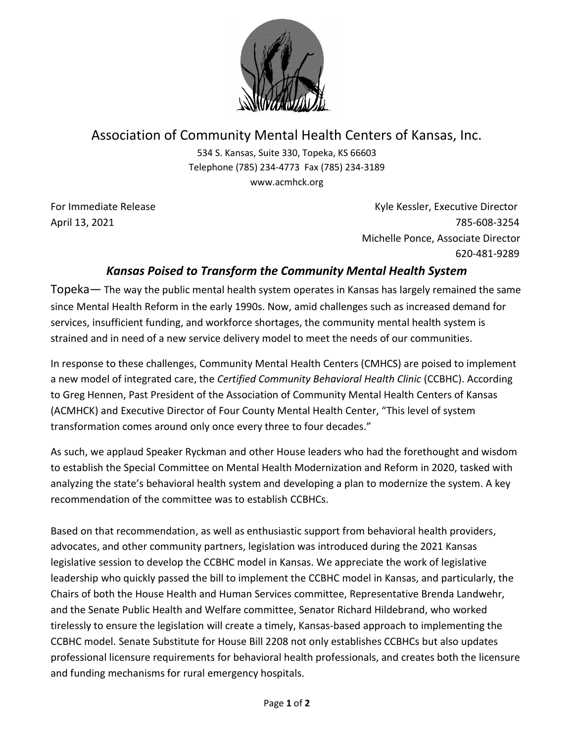

## Association of Community Mental Health Centers of Kansas, Inc.

534 S. Kansas, Suite 330, Topeka, KS 66603 Telephone (785) 234-4773 Fax (785) 234-3189 www.acmhck.org

For Immediate Release **Kyle Kessler, Executive Director** Kyle Kessler, Executive Director April 13, 2021 785-608-3254 Michelle Ponce, Associate Director 620-481-9289

## *Kansas Poised to Transform the Community Mental Health System*

Topeka— The way the public mental health system operates in Kansas has largely remained the same since Mental Health Reform in the early 1990s. Now, amid challenges such as increased demand for services, insufficient funding, and workforce shortages, the community mental health system is strained and in need of a new service delivery model to meet the needs of our communities.

In response to these challenges, Community Mental Health Centers (CMHCS) are poised to implement a new model of integrated care, the *Certified Community Behavioral Health Clinic* (CCBHC). According to Greg Hennen, Past President of the Association of Community Mental Health Centers of Kansas (ACMHCK) and Executive Director of Four County Mental Health Center, "This level of system transformation comes around only once every three to four decades."

As such, we applaud Speaker Ryckman and other House leaders who had the forethought and wisdom to establish the Special Committee on Mental Health Modernization and Reform in 2020, tasked with analyzing the state's behavioral health system and developing a plan to modernize the system. A key recommendation of the committee was to establish CCBHCs.

Based on that recommendation, as well as enthusiastic support from behavioral health providers, advocates, and other community partners, legislation was introduced during the 2021 Kansas legislative session to develop the CCBHC model in Kansas. We appreciate the work of legislative leadership who quickly passed the bill to implement the CCBHC model in Kansas, and particularly, the Chairs of both the House Health and Human Services committee, Representative Brenda Landwehr, and the Senate Public Health and Welfare committee, Senator Richard Hildebrand, who worked tirelessly to ensure the legislation will create a timely, Kansas-based approach to implementing the CCBHC model. Senate Substitute for House Bill 2208 not only establishes CCBHCs but also updates professional licensure requirements for behavioral health professionals, and creates both the licensure and funding mechanisms for rural emergency hospitals.